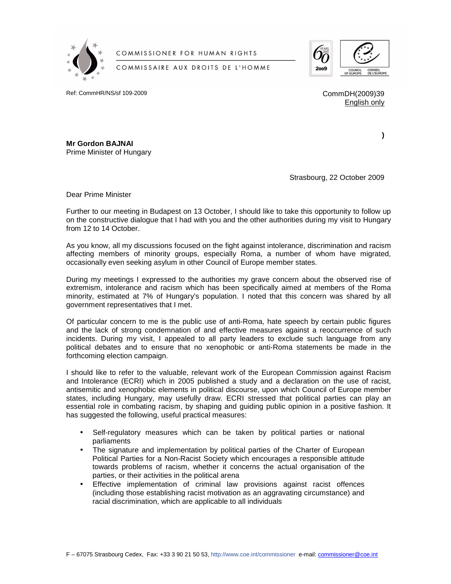

COMMISSIONER FOR HUMAN RIGHTS

COMMISSAIRE AUX DROITS DE L'HOMME



Ref: CommHR/NS/sf 109-2009 Comm Comm DH(2009)39

English only

**)** 

**Mr Gordon BAJNAI**  Prime Minister of Hungary

Strasbourg, 22 October 2009

Dear Prime Minister

Further to our meeting in Budapest on 13 October, I should like to take this opportunity to follow up on the constructive dialogue that I had with you and the other authorities during my visit to Hungary from 12 to 14 October.

As you know, all my discussions focused on the fight against intolerance, discrimination and racism affecting members of minority groups, especially Roma, a number of whom have migrated, occasionally even seeking asylum in other Council of Europe member states.

During my meetings I expressed to the authorities my grave concern about the observed rise of extremism, intolerance and racism which has been specifically aimed at members of the Roma minority, estimated at 7% of Hungary's population. I noted that this concern was shared by all government representatives that I met.

Of particular concern to me is the public use of anti-Roma, hate speech by certain public figures and the lack of strong condemnation of and effective measures against a reoccurrence of such incidents. During my visit, I appealed to all party leaders to exclude such language from any political debates and to ensure that no xenophobic or anti-Roma statements be made in the forthcoming election campaign.

I should like to refer to the valuable, relevant work of the European Commission against Racism and Intolerance (ECRI) which in 2005 published a study and a declaration on the use of racist, antisemitic and xenophobic elements in political discourse, upon which Council of Europe member states, including Hungary, may usefully draw. ECRI stressed that political parties can play an essential role in combating racism, by shaping and guiding public opinion in a positive fashion. It has suggested the following, useful practical measures:

- Self-regulatory measures which can be taken by political parties or national parliaments
- The signature and implementation by political parties of the Charter of European Political Parties for a Non-Racist Society which encourages a responsible attitude towards problems of racism, whether it concerns the actual organisation of the parties, or their activities in the political arena
- Effective implementation of criminal law provisions against racist offences (including those establishing racist motivation as an aggravating circumstance) and racial discrimination, which are applicable to all individuals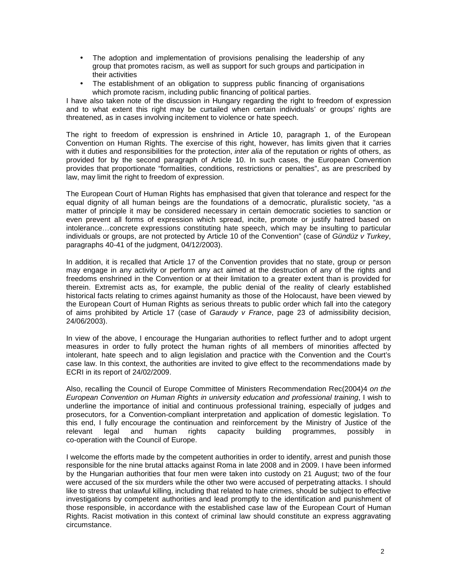- The adoption and implementation of provisions penalising the leadership of any group that promotes racism, as well as support for such groups and participation in their activities
- The establishment of an obligation to suppress public financing of organisations which promote racism, including public financing of political parties.

I have also taken note of the discussion in Hungary regarding the right to freedom of expression and to what extent this right may be curtailed when certain individuals' or groups' rights are threatened, as in cases involving incitement to violence or hate speech.

The right to freedom of expression is enshrined in Article 10, paragraph 1, of the European Convention on Human Rights. The exercise of this right, however, has limits given that it carries with it duties and responsibilities for the protection, *inter alia* of the reputation or rights of others, as provided for by the second paragraph of Article 10. In such cases, the European Convention provides that proportionate "formalities, conditions, restrictions or penalties", as are prescribed by law, may limit the right to freedom of expression.

The European Court of Human Rights has emphasised that given that tolerance and respect for the equal dignity of all human beings are the foundations of a democratic, pluralistic society, "as a matter of principle it may be considered necessary in certain democratic societies to sanction or even prevent all forms of expression which spread, incite, promote or justify hatred based on intolerance…concrete expressions constituting hate speech, which may be insulting to particular individuals or groups, are not protected by Article 10 of the Convention" (case of Gündüz v Turkey, paragraphs 40-41 of the judgment, 04/12/2003).

In addition, it is recalled that Article 17 of the Convention provides that no state, group or person may engage in any activity or perform any act aimed at the destruction of any of the rights and freedoms enshrined in the Convention or at their limitation to a greater extent than is provided for therein. Extremist acts as, for example, the public denial of the reality of clearly established historical facts relating to crimes against humanity as those of the Holocaust, have been viewed by the European Court of Human Rights as serious threats to public order which fall into the category of aims prohibited by Article 17 (case of Garaudy v France, page 23 of admissibility decision, 24/06/2003).

In view of the above, I encourage the Hungarian authorities to reflect further and to adopt urgent measures in order to fully protect the human rights of all members of minorities affected by intolerant, hate speech and to align legislation and practice with the Convention and the Court's case law. In this context, the authorities are invited to give effect to the recommendations made by ECRI in its report of 24/02/2009.

Also, recalling the Council of Europe Committee of Ministers Recommendation Rec(2004)4 on the European Convention on Human Rights in university education and professional training, I wish to underline the importance of initial and continuous professional training, especially of judges and prosecutors, for a Convention-compliant interpretation and application of domestic legislation. To this end, I fully encourage the continuation and reinforcement by the Ministry of Justice of the relevant legal and human rights capacity building programmes, possibly in co-operation with the Council of Europe.

I welcome the efforts made by the competent authorities in order to identify, arrest and punish those responsible for the nine brutal attacks against Roma in late 2008 and in 2009. I have been informed by the Hungarian authorities that four men were taken into custody on 21 August; two of the four were accused of the six murders while the other two were accused of perpetrating attacks. I should like to stress that unlawful killing, including that related to hate crimes, should be subject to effective investigations by competent authorities and lead promptly to the identification and punishment of those responsible, in accordance with the established case law of the European Court of Human Rights. Racist motivation in this context of criminal law should constitute an express aggravating circumstance.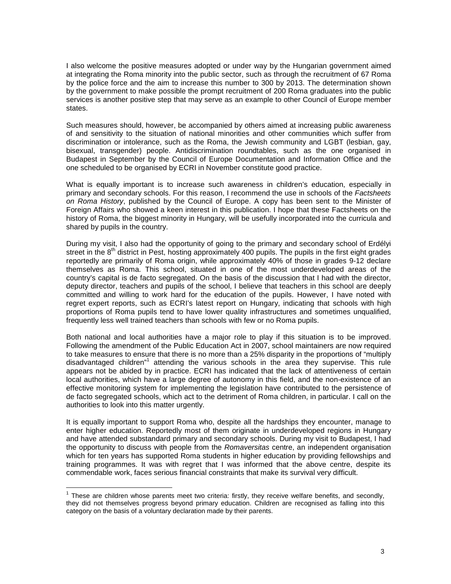I also welcome the positive measures adopted or under way by the Hungarian government aimed at integrating the Roma minority into the public sector, such as through the recruitment of 67 Roma by the police force and the aim to increase this number to 300 by 2013. The determination shown by the government to make possible the prompt recruitment of 200 Roma graduates into the public services is another positive step that may serve as an example to other Council of Europe member states.

Such measures should, however, be accompanied by others aimed at increasing public awareness of and sensitivity to the situation of national minorities and other communities which suffer from discrimination or intolerance, such as the Roma, the Jewish community and LGBT (lesbian, gay, bisexual, transgender) people. Antidiscrimination roundtables, such as the one organised in Budapest in September by the Council of Europe Documentation and Information Office and the one scheduled to be organised by ECRI in November constitute good practice.

What is equally important is to increase such awareness in children's education, especially in primary and secondary schools. For this reason, I recommend the use in schools of the Factsheets on Roma History, published by the Council of Europe. A copy has been sent to the Minister of Foreign Affairs who showed a keen interest in this publication. I hope that these Factsheets on the history of Roma, the biggest minority in Hungary, will be usefully incorporated into the curricula and shared by pupils in the country.

During my visit, I also had the opportunity of going to the primary and secondary school of Erdélyi street in the 8<sup>th</sup> district in Pest, hosting approximately 400 pupils. The pupils in the first eight grades reportedly are primarily of Roma origin, while approximately 40% of those in grades 9-12 declare themselves as Roma. This school, situated in one of the most underdeveloped areas of the country's capital is de facto segregated. On the basis of the discussion that I had with the director, deputy director, teachers and pupils of the school, I believe that teachers in this school are deeply committed and willing to work hard for the education of the pupils. However, I have noted with regret expert reports, such as ECRI's latest report on Hungary, indicating that schools with high proportions of Roma pupils tend to have lower quality infrastructures and sometimes unqualified, frequently less well trained teachers than schools with few or no Roma pupils.

Both national and local authorities have a major role to play if this situation is to be improved. Following the amendment of the Public Education Act in 2007, school maintainers are now required to take measures to ensure that there is no more than a 25% disparity in the proportions of "multiply disadvantaged children<sup>"1</sup> attending the various schools in the area they supervise. This rule appears not be abided by in practice. ECRI has indicated that the lack of attentiveness of certain local authorities, which have a large degree of autonomy in this field, and the non-existence of an effective monitoring system for implementing the legislation have contributed to the persistence of de facto segregated schools, which act to the detriment of Roma children, in particular. I call on the authorities to look into this matter urgently.

It is equally important to support Roma who, despite all the hardships they encounter, manage to enter higher education. Reportedly most of them originate in underdeveloped regions in Hungary and have attended substandard primary and secondary schools. During my visit to Budapest, I had the opportunity to discuss with people from the Romaversitas centre, an independent organisation which for ten years has supported Roma students in higher education by providing fellowships and training programmes. It was with regret that I was informed that the above centre, despite its commendable work, faces serious financial constraints that make its survival very difficult.

<u>.</u>

 $1$  These are children whose parents meet two criteria: firstly, they receive welfare benefits, and secondly, they did not themselves progress beyond primary education. Children are recognised as falling into this category on the basis of a voluntary declaration made by their parents.